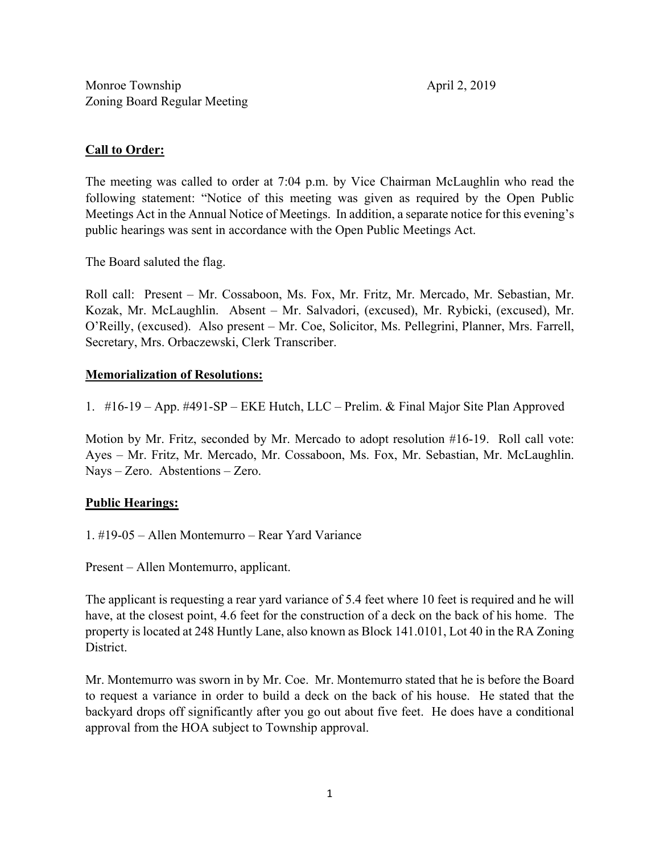## **Call to Order:**

The meeting was called to order at 7:04 p.m. by Vice Chairman McLaughlin who read the following statement: "Notice of this meeting was given as required by the Open Public Meetings Act in the Annual Notice of Meetings. In addition, a separate notice for this evening's public hearings was sent in accordance with the Open Public Meetings Act.

The Board saluted the flag.

Roll call: Present – Mr. Cossaboon, Ms. Fox, Mr. Fritz, Mr. Mercado, Mr. Sebastian, Mr. Kozak, Mr. McLaughlin. Absent – Mr. Salvadori, (excused), Mr. Rybicki, (excused), Mr. O'Reilly, (excused). Also present – Mr. Coe, Solicitor, Ms. Pellegrini, Planner, Mrs. Farrell, Secretary, Mrs. Orbaczewski, Clerk Transcriber.

#### **Memorialization of Resolutions:**

1. #16-19 – App. #491-SP – EKE Hutch, LLC – Prelim. & Final Major Site Plan Approved

Motion by Mr. Fritz, seconded by Mr. Mercado to adopt resolution #16-19. Roll call vote: Ayes – Mr. Fritz, Mr. Mercado, Mr. Cossaboon, Ms. Fox, Mr. Sebastian, Mr. McLaughlin. Nays – Zero. Abstentions – Zero.

### **Public Hearings:**

1. #19-05 – Allen Montemurro – Rear Yard Variance

Present – Allen Montemurro, applicant.

The applicant is requesting a rear yard variance of 5.4 feet where 10 feet is required and he will have, at the closest point, 4.6 feet for the construction of a deck on the back of his home. The property is located at 248 Huntly Lane, also known as Block 141.0101, Lot 40 in the RA Zoning District.

Mr. Montemurro was sworn in by Mr. Coe. Mr. Montemurro stated that he is before the Board to request a variance in order to build a deck on the back of his house. He stated that the backyard drops off significantly after you go out about five feet. He does have a conditional approval from the HOA subject to Township approval.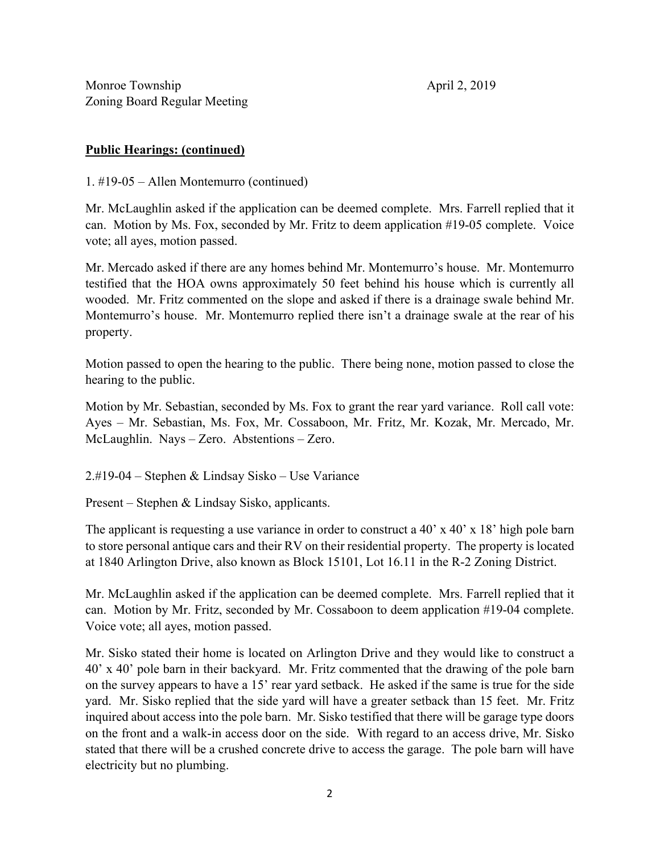Monroe Township April 2, 2019 Zoning Board Regular Meeting

# **Public Hearings: (continued)**

1. #19-05 – Allen Montemurro (continued)

Mr. McLaughlin asked if the application can be deemed complete. Mrs. Farrell replied that it can. Motion by Ms. Fox, seconded by Mr. Fritz to deem application #19-05 complete. Voice vote; all ayes, motion passed.

Mr. Mercado asked if there are any homes behind Mr. Montemurro's house. Mr. Montemurro testified that the HOA owns approximately 50 feet behind his house which is currently all wooded. Mr. Fritz commented on the slope and asked if there is a drainage swale behind Mr. Montemurro's house. Mr. Montemurro replied there isn't a drainage swale at the rear of his property.

Motion passed to open the hearing to the public. There being none, motion passed to close the hearing to the public.

Motion by Mr. Sebastian, seconded by Ms. Fox to grant the rear yard variance. Roll call vote: Ayes – Mr. Sebastian, Ms. Fox, Mr. Cossaboon, Mr. Fritz, Mr. Kozak, Mr. Mercado, Mr. McLaughlin. Nays – Zero. Abstentions – Zero.

2.#19-04 – Stephen & Lindsay Sisko – Use Variance

Present – Stephen & Lindsay Sisko, applicants.

The applicant is requesting a use variance in order to construct a 40' x 40' x 18' high pole barn to store personal antique cars and their RV on their residential property. The property is located at 1840 Arlington Drive, also known as Block 15101, Lot 16.11 in the R-2 Zoning District.

Mr. McLaughlin asked if the application can be deemed complete. Mrs. Farrell replied that it can. Motion by Mr. Fritz, seconded by Mr. Cossaboon to deem application #19-04 complete. Voice vote; all ayes, motion passed.

Mr. Sisko stated their home is located on Arlington Drive and they would like to construct a 40' x 40' pole barn in their backyard. Mr. Fritz commented that the drawing of the pole barn on the survey appears to have a 15' rear yard setback. He asked if the same is true for the side yard. Mr. Sisko replied that the side yard will have a greater setback than 15 feet. Mr. Fritz inquired about access into the pole barn. Mr. Sisko testified that there will be garage type doors on the front and a walk-in access door on the side. With regard to an access drive, Mr. Sisko stated that there will be a crushed concrete drive to access the garage. The pole barn will have electricity but no plumbing.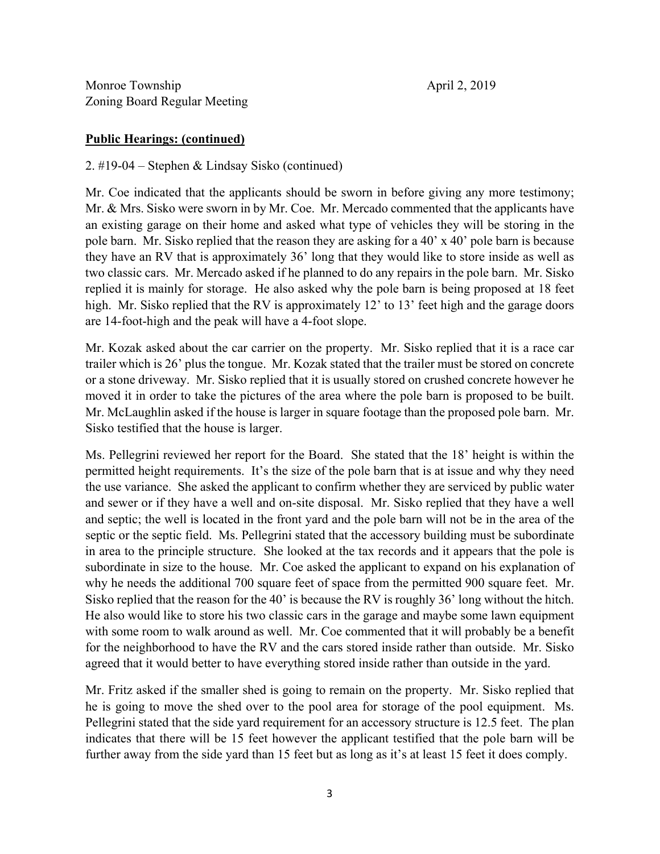### **Public Hearings: (continued)**

2. #19-04 – Stephen & Lindsay Sisko (continued)

Mr. Coe indicated that the applicants should be sworn in before giving any more testimony; Mr. & Mrs. Sisko were sworn in by Mr. Coe. Mr. Mercado commented that the applicants have an existing garage on their home and asked what type of vehicles they will be storing in the pole barn. Mr. Sisko replied that the reason they are asking for a 40' x 40' pole barn is because they have an RV that is approximately 36' long that they would like to store inside as well as two classic cars. Mr. Mercado asked if he planned to do any repairs in the pole barn. Mr. Sisko replied it is mainly for storage. He also asked why the pole barn is being proposed at 18 feet high. Mr. Sisko replied that the RV is approximately 12' to 13' feet high and the garage doors are 14-foot-high and the peak will have a 4-foot slope.

Mr. Kozak asked about the car carrier on the property. Mr. Sisko replied that it is a race car trailer which is 26' plus the tongue. Mr. Kozak stated that the trailer must be stored on concrete or a stone driveway. Mr. Sisko replied that it is usually stored on crushed concrete however he moved it in order to take the pictures of the area where the pole barn is proposed to be built. Mr. McLaughlin asked if the house is larger in square footage than the proposed pole barn. Mr. Sisko testified that the house is larger.

Ms. Pellegrini reviewed her report for the Board. She stated that the 18' height is within the permitted height requirements. It's the size of the pole barn that is at issue and why they need the use variance. She asked the applicant to confirm whether they are serviced by public water and sewer or if they have a well and on-site disposal. Mr. Sisko replied that they have a well and septic; the well is located in the front yard and the pole barn will not be in the area of the septic or the septic field. Ms. Pellegrini stated that the accessory building must be subordinate in area to the principle structure. She looked at the tax records and it appears that the pole is subordinate in size to the house. Mr. Coe asked the applicant to expand on his explanation of why he needs the additional 700 square feet of space from the permitted 900 square feet. Mr. Sisko replied that the reason for the 40' is because the RV is roughly 36' long without the hitch. He also would like to store his two classic cars in the garage and maybe some lawn equipment with some room to walk around as well. Mr. Coe commented that it will probably be a benefit for the neighborhood to have the RV and the cars stored inside rather than outside. Mr. Sisko agreed that it would better to have everything stored inside rather than outside in the yard.

Mr. Fritz asked if the smaller shed is going to remain on the property. Mr. Sisko replied that he is going to move the shed over to the pool area for storage of the pool equipment. Ms. Pellegrini stated that the side yard requirement for an accessory structure is 12.5 feet. The plan indicates that there will be 15 feet however the applicant testified that the pole barn will be further away from the side yard than 15 feet but as long as it's at least 15 feet it does comply.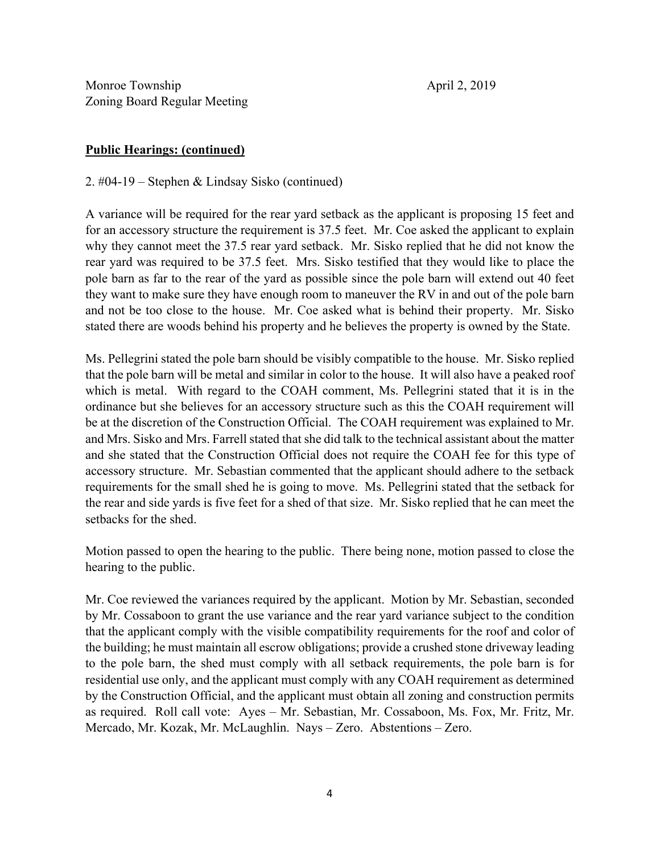## **Public Hearings: (continued)**

2. #04-19 – Stephen & Lindsay Sisko (continued)

A variance will be required for the rear yard setback as the applicant is proposing 15 feet and for an accessory structure the requirement is 37.5 feet. Mr. Coe asked the applicant to explain why they cannot meet the 37.5 rear yard setback. Mr. Sisko replied that he did not know the rear yard was required to be 37.5 feet. Mrs. Sisko testified that they would like to place the pole barn as far to the rear of the yard as possible since the pole barn will extend out 40 feet they want to make sure they have enough room to maneuver the RV in and out of the pole barn and not be too close to the house. Mr. Coe asked what is behind their property. Mr. Sisko stated there are woods behind his property and he believes the property is owned by the State.

Ms. Pellegrini stated the pole barn should be visibly compatible to the house. Mr. Sisko replied that the pole barn will be metal and similar in color to the house. It will also have a peaked roof which is metal. With regard to the COAH comment, Ms. Pellegrini stated that it is in the ordinance but she believes for an accessory structure such as this the COAH requirement will be at the discretion of the Construction Official. The COAH requirement was explained to Mr. and Mrs. Sisko and Mrs. Farrell stated that she did talk to the technical assistant about the matter and she stated that the Construction Official does not require the COAH fee for this type of accessory structure. Mr. Sebastian commented that the applicant should adhere to the setback requirements for the small shed he is going to move. Ms. Pellegrini stated that the setback for the rear and side yards is five feet for a shed of that size. Mr. Sisko replied that he can meet the setbacks for the shed.

Motion passed to open the hearing to the public. There being none, motion passed to close the hearing to the public.

Mr. Coe reviewed the variances required by the applicant. Motion by Mr. Sebastian, seconded by Mr. Cossaboon to grant the use variance and the rear yard variance subject to the condition that the applicant comply with the visible compatibility requirements for the roof and color of the building; he must maintain all escrow obligations; provide a crushed stone driveway leading to the pole barn, the shed must comply with all setback requirements, the pole barn is for residential use only, and the applicant must comply with any COAH requirement as determined by the Construction Official, and the applicant must obtain all zoning and construction permits as required. Roll call vote: Ayes – Mr. Sebastian, Mr. Cossaboon, Ms. Fox, Mr. Fritz, Mr. Mercado, Mr. Kozak, Mr. McLaughlin. Nays – Zero. Abstentions – Zero.